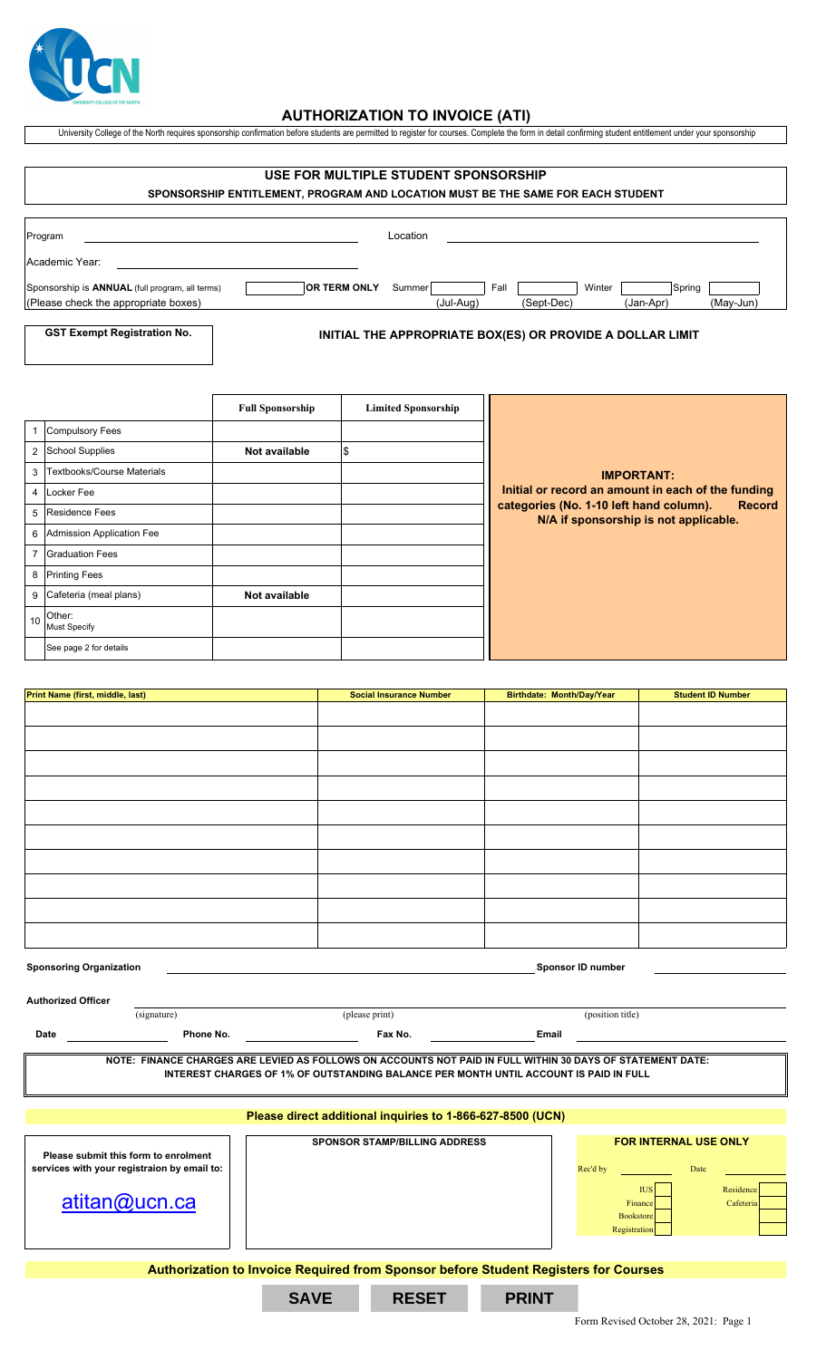

## **AUTHORIZATION TO INVOICE (ATI)**

University College of the North requires sponsorship confirmation before students are permitted to register for courses. Complete the form in detail confirming student entitlement under your sponsorship

| USE FOR MULTIPLE STUDENT SPONSORSHIP<br>SPONSORSHIP ENTITLEMENT, PROGRAM AND LOCATION MUST BE THE SAME FOR EACH STUDENT |          |           |      |            |        |           |        |           |
|-------------------------------------------------------------------------------------------------------------------------|----------|-----------|------|------------|--------|-----------|--------|-----------|
| Program                                                                                                                 | Location |           |      |            |        |           |        |           |
| Academic Year:                                                                                                          |          |           |      |            |        |           |        |           |
| <b>OR TERM ONLY</b><br>Sponsorship is <b>ANNUAL</b> (full program, all terms)                                           | Summer   |           | Fall |            | Winter |           | Spring |           |
| (Please check the appropriate boxes)                                                                                    |          | (Jul-Aug) |      | (Sept-Dec) |        | (Jan-Apr) |        | (May-Jun) |

**GST Exempt Registration No.**

## **INITIAL THE APPROPRIATE BOX(ES) OR PROVIDE A DOLLAR LIMIT**

|                 |                               | <b>Full Sponsorship</b> | <b>Limited Sponsorship</b> |                                                                                                   |
|-----------------|-------------------------------|-------------------------|----------------------------|---------------------------------------------------------------------------------------------------|
|                 | 1 Compulsory Fees             |                         |                            |                                                                                                   |
|                 | 2 School Supplies             | Not available           | l\$                        |                                                                                                   |
|                 | 3 Textbooks/Course Materials  |                         |                            | <b>IMPORTANT:</b>                                                                                 |
|                 | 4 Locker Fee                  |                         |                            | Initial or record an amount in each of the funding                                                |
|                 | 5 Residence Fees              |                         |                            | <b>Record</b><br>categories (No. 1-10 left hand column).<br>N/A if sponsorship is not applicable. |
|                 | 6 Admission Application Fee   |                         |                            |                                                                                                   |
|                 | 7 Graduation Fees             |                         |                            |                                                                                                   |
|                 | 8 Printing Fees               |                         |                            |                                                                                                   |
|                 | 9 Cafeteria (meal plans)      | Not available           |                            |                                                                                                   |
| 10 <sup>1</sup> | Other:<br><b>Must Specify</b> |                         |                            |                                                                                                   |
|                 | See page 2 for details        |                         |                            |                                                                                                   |

| Print Name (first, middle, last) | <b>Social Insurance Number</b> | Birthdate: Month/Day/Year | <b>Student ID Number</b> |
|----------------------------------|--------------------------------|---------------------------|--------------------------|
|                                  |                                |                           |                          |
|                                  |                                |                           |                          |
|                                  |                                |                           |                          |
|                                  |                                |                           |                          |
|                                  |                                |                           |                          |
|                                  |                                |                           |                          |
|                                  |                                |                           |                          |
|                                  |                                |                           |                          |
|                                  |                                |                           |                          |
|                                  |                                |                           |                          |
|                                  |                                |                           |                          |
|                                  |                                |                           |                          |
|                                  |                                |                           |                          |
|                                  |                                |                           |                          |
|                                  |                                |                           |                          |
|                                  |                                |                           |                          |
|                                  |                                |                           |                          |
|                                  |                                |                           |                          |
|                                  |                                |                           |                          |

| <b>Sponsoring Organization</b> |                                             |                                                                                                                                                                                                     |              | <b>Sponsor ID number</b>    |                              |  |
|--------------------------------|---------------------------------------------|-----------------------------------------------------------------------------------------------------------------------------------------------------------------------------------------------------|--------------|-----------------------------|------------------------------|--|
| <b>Authorized Officer</b>      |                                             |                                                                                                                                                                                                     |              |                             |                              |  |
|                                | (signature)                                 | (please print)                                                                                                                                                                                      |              | (position title)            |                              |  |
| Date                           | Phone No.                                   | Fax No.                                                                                                                                                                                             | <b>Email</b> |                             |                              |  |
|                                |                                             | NOTE: FINANCE CHARGES ARE LEVIED AS FOLLOWS ON ACCOUNTS NOT PAID IN FULL WITHIN 30 DAYS OF STATEMENT DATE:<br>INTEREST CHARGES OF 1% OF OUTSTANDING BALANCE PER MONTH UNTIL ACCOUNT IS PAID IN FULL |              |                             |                              |  |
|                                |                                             | Please direct additional inquiries to 1-866-627-8500 (UCN)                                                                                                                                          |              |                             |                              |  |
|                                | Please submit this form to enrolment        | <b>SPONSOR STAMP/BILLING ADDRESS</b>                                                                                                                                                                |              |                             | <b>FOR INTERNAL USE ONLY</b> |  |
|                                | services with your registraion by email to: |                                                                                                                                                                                                     |              | Rec'd by                    | Date                         |  |
|                                |                                             |                                                                                                                                                                                                     |              | <b>IUS</b>                  | Residence                    |  |
|                                | atitan@ucn.ca                               |                                                                                                                                                                                                     |              | Finance<br><b>Bookstore</b> | Cafeteria                    |  |

**Authorization to Invoice Required from Sponsor before Student Registers for Courses**

**SAVE RESET PRINT**

Registration